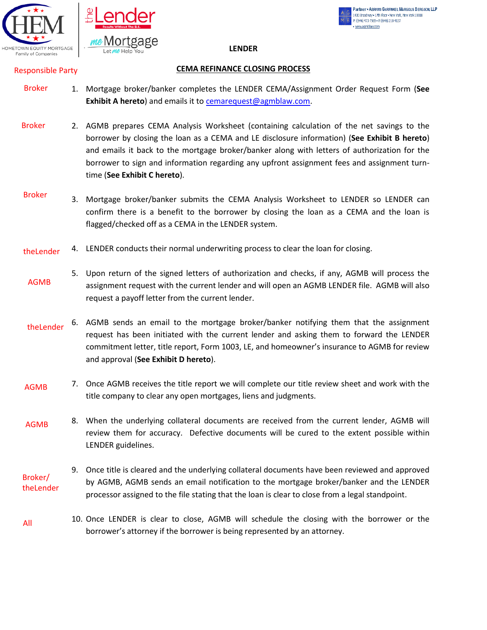



#### Partner . ABRAMS GARFINKEL MARGOLIS BERGSON, LLP 1430 Broadway . 17th Floor . New York, New York 10018 P: (646) 473-7585 · F: (646) 218-4137 www.aomblaw.com

**LENDER** 

### Responsible Party

### **CEMA REFINANCE CLOSING PROCESS**

- 1. Mortgage broker/banker completes the LENDER CEMA/Assignment Order Request Form (**See Exhibit A hereto**) and emails it to [cemarequest@agmblaw.com.](mailto:cemarequest@agmblaw.com) Broker
- 2. AGMB prepares CEMA Analysis Worksheet (containing calculation of the net savings to the borrower by closing the loan as a CEMA and LE disclosure information) (**See Exhibit B hereto**) and emails it back to the mortgage broker/banker along with letters of authorization for the borrower to sign and information regarding any upfront assignment fees and assignment turntime (**See Exhibit C hereto**). Broker
- 3. Mortgage broker/banker submits the CEMA Analysis Worksheet to LENDER so LENDER can confirm there is a benefit to the borrower by closing the loan as a CEMA and the loan is flagged/checked off as a CEMA in the LENDER system. Broker
- 4. LENDER conducts their normal underwriting process to clear the loan for closing. theLender
- 5. Upon return of the signed letters of authorization and checks, if any, AGMB will process the assignment request with the current lender and will open an AGMB LENDER file. AGMB will also request a payoff letter from the current lender. AGMB
- 6. AGMB sends an email to the mortgage broker/banker notifying them that the assignment request has been initiated with the current lender and asking them to forward the LENDER commitment letter, title report, Form 1003, LE, and homeowner's insurance to AGMB for review and approval (**See Exhibit D hereto**). theLender
- 7. Once AGMB receives the title report we will complete our title review sheet and work with the title company to clear any open mortgages, liens and judgments. AGMB
- 8. When the underlying collateral documents are received from the current lender, AGMB will review them for accuracy. Defective documents will be cured to the extent possible within LENDER guidelines. AGMB
- 9. Once title is cleared and the underlying collateral documents have been reviewed and approved by AGMB, AGMB sends an email notification to the mortgage broker/banker and the LENDER processor assigned to the file stating that the loan is clear to close from a legal standpoint. Broker/ theLender
- 10. Once LENDER is clear to close, AGMB will schedule the closing with the borrower or the borrower's attorney if the borrower is being represented by an attorney. All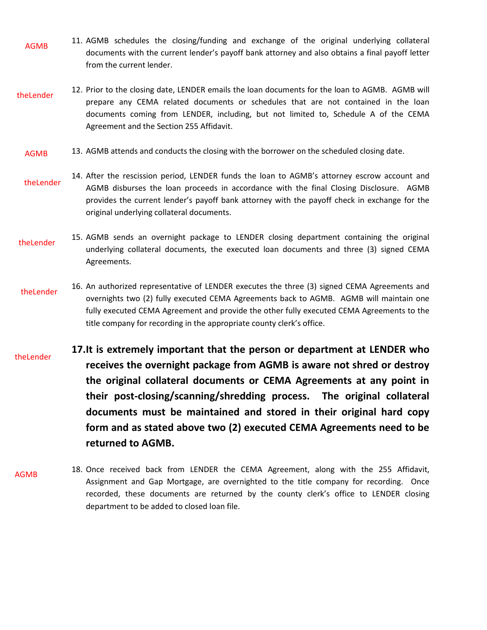- 11. AGMB schedules the closing/funding and exchange of the original underlying collateral documents with the current lender's payoff bank attorney and also obtains a final payoff letter from the current lender. AGMB
- 12. Prior to the closing date, LENDER emails the loan documents for the loan to AGMB. AGMB will prepare any CEMA related documents or schedules that are not contained in the loan documents coming from LENDER, including, but not limited to, Schedule A of the CEMA Agreement and the Section 255 Affidavit. theLender
	- 13. AGMB attends and conducts the closing with the borrower on the scheduled closing date. AGMB
	- 14. After the rescission period, LENDER funds the loan to AGMB's attorney escrow account and AGMB disburses the loan proceeds in accordance with the final Closing Disclosure. AGMB provides the current lender's payoff bank attorney with the payoff check in exchange for the original underlying collateral documents. theLender
- 15. AGMB sends an overnight package to LENDER closing department containing the original underlying collateral documents, the executed loan documents and three (3) signed CEMA Agreements. theLender
- 16. An authorized representative of LENDER executes the three (3) signed CEMA Agreements and overnights two (2) fully executed CEMA Agreements back to AGMB. AGMB will maintain one fully executed CEMA Agreement and provide the other fully executed CEMA Agreements to the title company for recording in the appropriate county clerk's office. theLender
- **17.It is extremely important that the person or department at LENDER who receives the overnight package from AGMB is aware not shred or destroy the original collateral documents or CEMA Agreements at any point in their post-closing/scanning/shredding process. The original collateral documents must be maintained and stored in their original hard copy form and as stated above two (2) executed CEMA Agreements need to be returned to AGMB.** theLender
- 18. Once received back from LENDER the CEMA Agreement, along with the 255 Affidavit, Assignment and Gap Mortgage, are overnighted to the title company for recording. Once recorded, these documents are returned by the county clerk's office to LENDER closing department to be added to closed loan file. AGMB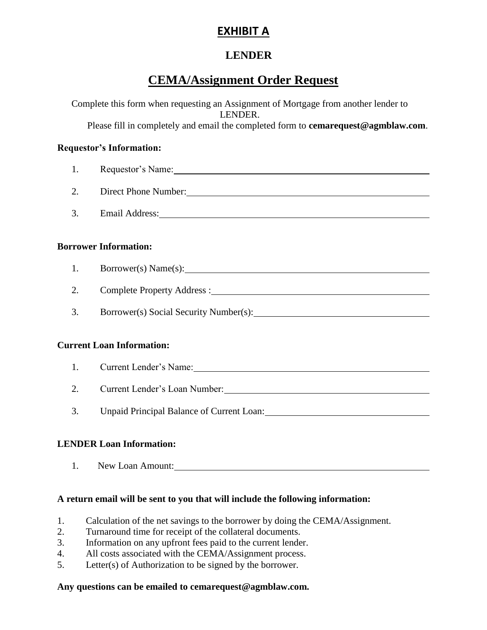# **EXHIBIT A**

## **LENDER**

# **CEMA/Assignment Order Request**

Complete this form when requesting an Assignment of Mortgage from another lender to LENDER. Please fill in completely and email the completed form to **[cemarequest@agmblaw.com](mailto:cemarequest@agmblaw.com)**. **Requestor's Information:** 1. Requestor's Name: 2. Direct Phone Number: 3. Email Address: **Borrower Information:**  1. Borrower(s) Name(s): 1. 2. Complete Property Address : 3. Borrower(s) Social Security Number(s): **Current Loan Information:**  1. Current Lender's Name: 2. Current Lender's Loan Number: 3. Unpaid Principal Balance of Current Loan:

## **LENDER Loan Information:**

1. New Loan Amount:

## **A return email will be sent to you that will include the following information:**

- 1. Calculation of the net savings to the borrower by doing the CEMA/Assignment.
- 2. Turnaround time for receipt of the collateral documents.
- 3. Information on any upfront fees paid to the current lender.
- 4. All costs associated with the CEMA/Assignment process.
- 5. Letter(s) of Authorization to be signed by the borrower.

### **Any questions can be emailed to cemarequest@agmblaw.com.**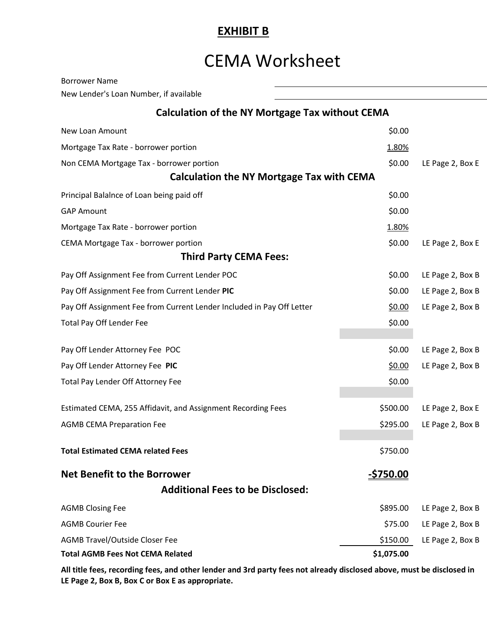## **EXHIBIT B**

# CEMA Worksheet

| <b>Borrower Name</b>                                                  |                  |                  |
|-----------------------------------------------------------------------|------------------|------------------|
| New Lender's Loan Number, if available                                |                  |                  |
| Calculation of the NY Mortgage Tax without CEMA                       |                  |                  |
| New Loan Amount                                                       | \$0.00           |                  |
| Mortgage Tax Rate - borrower portion                                  | 1.80%            |                  |
| Non CEMA Mortgage Tax - borrower portion                              | \$0.00           | LE Page 2, Box E |
| <b>Calculation the NY Mortgage Tax with CEMA</b>                      |                  |                  |
| Principal Balalnce of Loan being paid off                             | \$0.00           |                  |
| <b>GAP Amount</b>                                                     | \$0.00           |                  |
| Mortgage Tax Rate - borrower portion                                  | 1.80%            |                  |
| CEMA Mortgage Tax - borrower portion                                  | \$0.00           | LE Page 2, Box E |
| <b>Third Party CEMA Fees:</b>                                         |                  |                  |
| Pay Off Assignment Fee from Current Lender POC                        | \$0.00           | LE Page 2, Box B |
| Pay Off Assignment Fee from Current Lender PIC                        | \$0.00           | LE Page 2, Box B |
| Pay Off Assignment Fee from Current Lender Included in Pay Off Letter | \$0.00           | LE Page 2, Box B |
| <b>Total Pay Off Lender Fee</b>                                       | \$0.00           |                  |
|                                                                       |                  |                  |
| Pay Off Lender Attorney Fee POC                                       | \$0.00           | LE Page 2, Box B |
| Pay Off Lender Attorney Fee PIC                                       | \$0.00           | LE Page 2, Box B |
| Total Pay Lender Off Attorney Fee                                     | \$0.00           |                  |
| Estimated CEMA, 255 Affidavit, and Assignment Recording Fees          | \$500.00         | LE Page 2, Box E |
| <b>AGMB CEMA Preparation Fee</b>                                      | \$295.00         | LE Page 2, Box B |
|                                                                       |                  |                  |
| <b>Total Estimated CEMA related Fees</b>                              | \$750.00         |                  |
| <b>Net Benefit to the Borrower</b>                                    | <u>-\$750.00</u> |                  |
| <b>Additional Fees to be Disclosed:</b>                               |                  |                  |
| <b>AGMB Closing Fee</b>                                               | \$895.00         | LE Page 2, Box B |
| <b>AGMB Courier Fee</b>                                               | \$75.00          | LE Page 2, Box B |
| <b>AGMB Travel/Outside Closer Fee</b>                                 | \$150.00         | LE Page 2, Box B |
| <b>Total AGMB Fees Not CEMA Related</b>                               | \$1,075.00       |                  |

**All title fees, recording fees, and other lender and 3rd party fees not already disclosed above, must be disclosed in LE Page 2, Box B, Box C or Box E as appropriate.**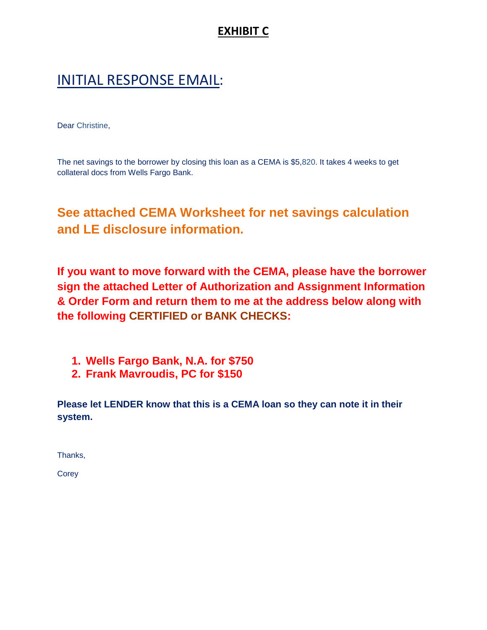# **EXHIBIT C**

# INITIAL RESPONSE EMAIL:

Dear Christine,

The net savings to the borrower by closing this loan as a CEMA is \$5,820. It takes 4 weeks to get collateral docs from Wells Fargo Bank.

# **See attached CEMA Worksheet for net savings calculation and LE disclosure information.**

**If you want to move forward with the CEMA, please have the borrower sign the attached Letter of Authorization and Assignment Information & Order Form and return them to me at the address below along with the following CERTIFIED or BANK CHECKS:**

- **1. Wells Fargo Bank, N.A. for \$750**
- **2. Frank Mavroudis, PC for \$150**

**Please let LENDER know that this is a CEMA loan so they can note it in their system.**

Thanks,

**Corey**